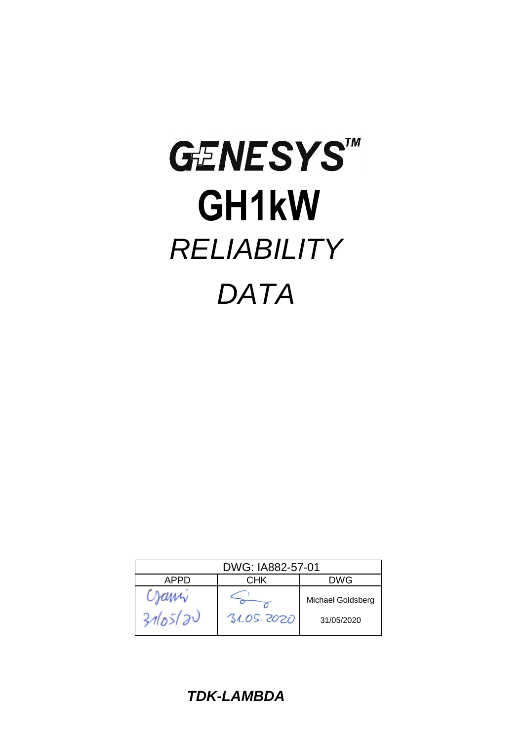# **GENESYSTM GH1kW**  *RELIABILITY DATA*

| DWG: IA882-57-01 |            |                                 |  |  |  |  |  |
|------------------|------------|---------------------------------|--|--|--|--|--|
| APPD             | СНК        | DWG                             |  |  |  |  |  |
| Crami<br>3165/20 | 31.05.2020 | Michael Goldsberg<br>31/05/2020 |  |  |  |  |  |

*TDK-LAMBDA*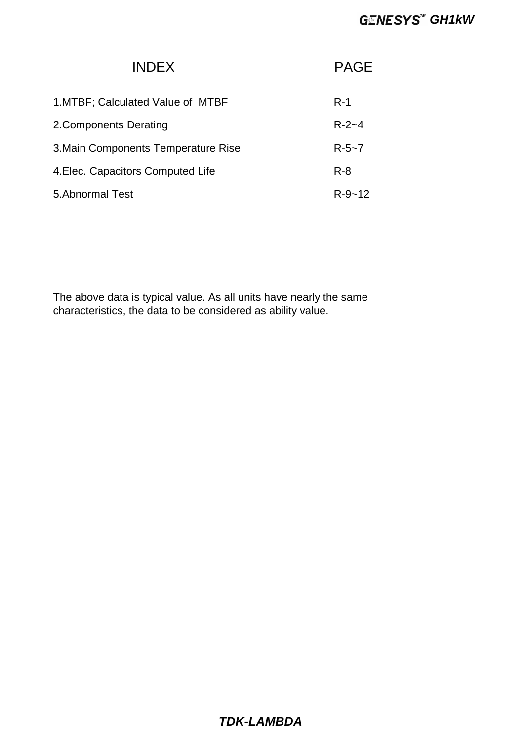### **GENESYS<sup>™</sup> GH1kW**

| <b>INDEX</b>                        | <b>PAGE</b>  |
|-------------------------------------|--------------|
| 1. MTBF; Calculated Value of MTBF   | $R-1$        |
| 2. Components Derating              | $R - 2 - 4$  |
| 3. Main Components Temperature Rise | $R - 5 - 7$  |
| 4. Elec. Capacitors Computed Life   | $R - 8$      |
| 5. Abnormal Test                    | $R - 9 - 12$ |

The above data is typical value. As all units have nearly the same characteristics, the data to be considered as ability value.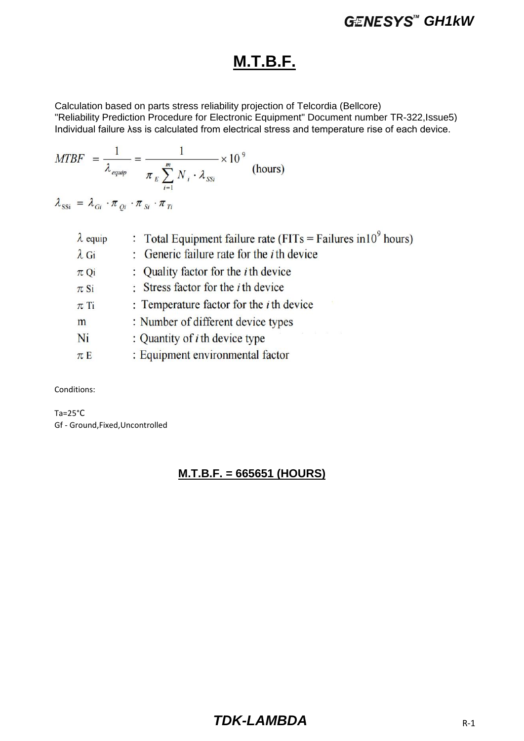### **M.T.B.F.**

Calculation based on parts stress reliability projection of Telcordia (Bellcore) "Reliability Prediction Procedure for Electronic Equipment" Document number TR-322,Issue5) Individual failure λss is calculated from electrical stress and temperature rise of each device.

$$
MTBF = \frac{1}{\lambda_{\text{equiv}}} = \frac{1}{\pi_E \sum_{i=1}^{m} N_i \cdot \lambda_{SSi}} \times 10^9 \text{ (hours)}
$$

 $\lambda_{\rm SSi} = \lambda_{Gi} \cdot \pi_{Qi} \cdot \pi_{Si} \cdot \pi_{Ti}$ 

| : Generic failure rate for the <i>i</i> th device<br>$\lambda$ Gi           |
|-----------------------------------------------------------------------------|
| : Quality factor for the <i>i</i> th device<br>$\pi$ Qi                     |
| : Stress factor for the $i$ th device<br>$\pi$ Si                           |
| : Temperature factor for the $i$ th device<br>$\pi$ Ti                      |
| : Number of different device types<br>m                                     |
| and the control of the control of<br>: Quantity of $i$ th device type<br>Ni |
| : Equipment environmental factor<br>$\pi E$                                 |

Conditions:

Ta=25°C Gf - Ground,Fixed,Uncontrolled

#### **M.T.B.F. = 665651 (HOURS)**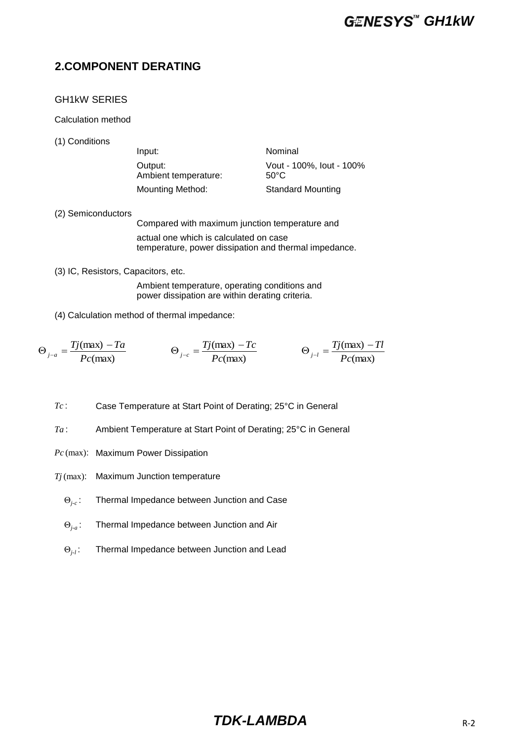#### **2.COMPONENT DERATING**

#### GH1kW SERIES

Calculation method

(1) Conditions

| Input:                          | Nominal                          |
|---------------------------------|----------------------------------|
| Output:<br>Ambient temperature: | Vout - 100%, lout - 100%<br>50°C |
| Mounting Method:                | <b>Standard Mounting</b>         |

(2) Semiconductors

Compared with maximum junction temperature and actual one which is calculated on case temperature, power dissipation and thermal impedance.

(3) IC, Resistors, Capacitors, etc.

Ambient temperature, operating conditions and power dissipation are within derating criteria.

(4) Calculation method of thermal impedance:

$$
\Theta_{j-a} = \frac{Tj(\text{max}) - Ta}{Pc(\text{max})} \qquad \Theta_{j-c} = \frac{Tj(\text{max}) - Tc}{Pc(\text{max})} \qquad \Theta_{j-l} = \frac{Tj(\text{max}) - Tl}{Pc(\text{max})}
$$

*Tc* : Case Temperature at Start Point of Derating; 25°C in General

- *Ta* : Ambient Temperature at Start Point of Derating; 25°C in General
- *Pc* (max): Maximum Power Dissipation
- *Tj* (max): Maximum Junction temperature
	- Θ*j-c* : Thermal Impedance between Junction and Case
	- Θ*j-a* : Thermal Impedance between Junction and Air
	- Θ*j-l* : Thermal Impedance between Junction and Lead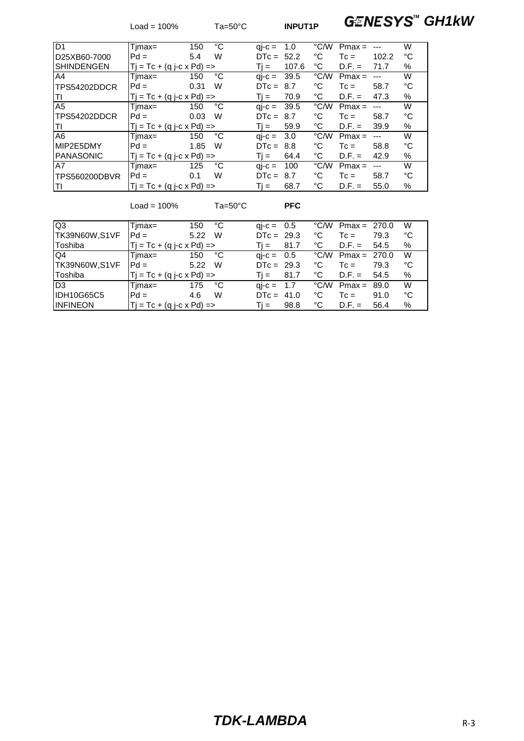Load = 100% Ta=50°C **INPUT1P GENESYS<sup>M</sup> GH1kW** 

| ID <sub>1</sub>   | Timax=                              | 150  | °C | $qi-c =$                          | 1.0   | °C/W | $Pmax =$ |       | W    |
|-------------------|-------------------------------------|------|----|-----------------------------------|-------|------|----------|-------|------|
| D25XB60-7000      | $Pd =$                              | 5.4  | W  | $DTC = 52.2$                      |       | °C   | $T_c =$  | 102.2 | °C   |
| <b>SHINDENGEN</b> | $Tj = Tc + (q j - c \times Pd) = >$ |      |    | Ti =                              | 107.6 | °C   | $D.F. =$ | 71.7  | $\%$ |
| A4                | Timax=                              | 150  | °C | $\mathsf{ai}\text{-}\mathsf{c} =$ | 39.5  | °C/W | $Pmax =$ |       | W    |
| TPS54202DDCR      | $Pd =$                              | 0.31 | W  | $DTC =$                           | 8.7   | °C   | $T_c =$  | 58.7  | °C   |
| ITI               | $Tj = Tc + (q j - c \times Pd) = >$ |      |    | $Ti =$                            | 70.9  | °C   | $D.F. =$ | 47.3  | %    |
| A <sub>5</sub>    | Timax=                              | 150  | °C | $\mathsf{ai}\text{-}\mathsf{c} =$ | 39.5  | °C/W | $Pmax =$ |       | W    |
| TPS54202DDCR      | $Pd =$                              | 0.03 | W  | $DTC = 8.7$                       |       | °C   | $T_c =$  | 58.7  | °C   |
| ΙTΙ               | $Tj = Tc + (q j - c x Pd) = >$      |      |    | $Ti =$                            | 59.9  | °C   | $D.F. =$ | 39.9  | %    |
| A <sub>6</sub>    | Timax=                              | 150  | °C | $qi-c = 3.0$                      |       | °C/W | $Pmax =$ |       | W    |
| MIP2E5DMY         | $Pd =$                              | 1.85 | W  | $DTC =$                           | 8.8   | °C   | $T_c =$  | 58.8  | °C   |
| <b>PANASONIC</b>  | $Tj = Tc + (q j - c \times Pd) = >$ |      |    | Ti = i                            | 64.4  | °C   | $D.F. =$ | 42.9  | %    |
| A7                | Timax=                              | 125  | °C | $qi-c =$                          | 100   | °C/W | $Pmax =$ |       | W    |
| TPS560200DBVR     | $Pd =$                              | 0.1  | W  | $DTC =$                           | 8.7   | °C   | $T_c =$  | 58.7  | °C   |
| lΤI               | $Tj = Tc + (q j - c x Pd) = >$      |      |    | Ti =                              | 68.7  | ℃    | $D.F. =$ | 55.0  | $\%$ |

Load = 100% Ta=50°C **PFC**

Q3 Tjmax= 150 °C qj-c = 0.5 °C/W Pmax = 270.0 W TK39N60W,S1VF Pd = 5.22 W DTc = 29.3 °C Tc = 79.3 °C  $Tj = Tc + (q j - c \times Pd) = >$   $Tj = 81.7$  °C D.F. = 54.5 %<br>Timax= 150 °C qi-c = 0.5 °C/W Pmax = 270.0 W Q4 Tjmax= 150 °C qj-c = 0.5 °C/W Pmax = 270.0 W<br>TK39N60W,S1VF Pd = 5.22 W DTc = 29.3 °C Tc = 79.3 °C TK39N60W,S1VF  $Pd = 5.22$  W  $DTC = 29.3$  °C Tc = 79.3 °C<br>Toshiba Ti = Tc + (q j-c x Pd) => Ti = 81.7 °C D.F. = 54.5 % Toshiba  $\begin{array}{c|cccc} \text{Tj} = \text{Tc} + (\text{q j-c x Pd}) = & & \text{Tj} = & 81.7 & ^\circ\text{C} & \text{D.F.} = & 54.5 & ^\circ\text{C} \\ \text{D3} & & & \text{Tjmax} = & 175 & ^\circ\text{C} & & \text{q i-c} = & 1.7 & ^\circ\text{C/W} & \text{Pmax} = & 89.0 & ^\circ\text{W} \end{array}$  $Tjmax =$  175 °C qj-c = 1.7 °C/W Pmax = 89.0 W<br>Pd = 4.6 W DTc = 41.0 °C Tc = 91.0 °C IDH10G65C5 Pd = 4.6 W DTc = 41.0 °C Tc = 91.0 °C<br>INFINEON Tj = Tc + (q j-c x Pd) => Tj = 98.8 °C D.F. = 56.4 % INFINEON  $|T| = Tc + (q j - c \times Pd) =$   $\qquad Tj =$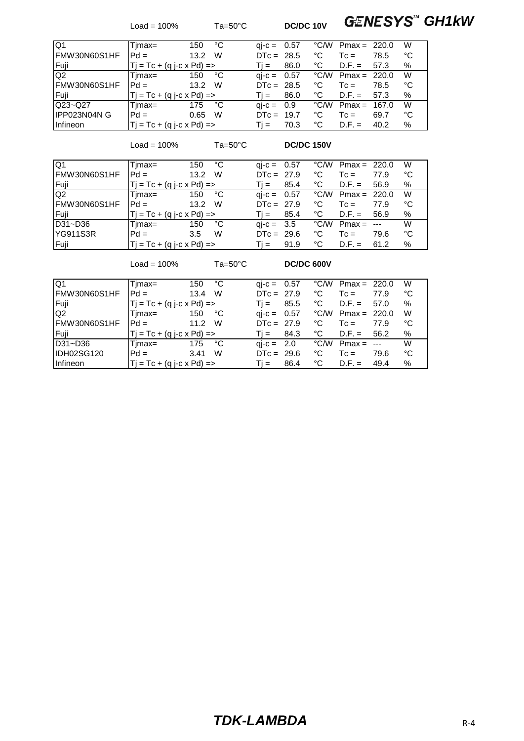Load = 100% Ta=50°C **DC/DC 10V GENESYS<sup>M</sup> GH1kW** 

| IQ1                | Tjmax=                           | °С<br>150 | $qi-c = 0.57$       |      |    | $\degree$ C/W Pmax = 220.0 |       | W  |
|--------------------|----------------------------------|-----------|---------------------|------|----|----------------------------|-------|----|
| IFMW30N60S1HF      | $Pd =$                           | W<br>13.2 | $DTC = 28.5$        |      | ℃  | $T_c =$                    | 78.5  | °C |
| Fuji               | $Tj = Tc + (q j - c x Pd) = >$   |           | $Ti =$              | 86.0 | ℃  | $D.F. =$                   | 57.3  | %  |
| Q <sub>2</sub>     | Timax=                           | °C<br>150 | $qi-c = 0.57$       |      |    | $°C/W$ Pmax = 220.0        |       | W  |
| IFMW30N60S1HF      | $Pd =$                           | W<br>13.2 | $DTC = 28.5$        |      | °C | $Tc =$                     | 78.5  | °С |
| Fuji               | $ T  = Tc + (q i-c \times Pd) =$ |           | $Ti =$              | 86.0 | ℃  | $D.F. =$                   | 57.3  | %  |
| $Q23 - Q27$        | Timax=                           | °C<br>175 | $\text{ai-c} = 0.9$ |      |    | $\degree$ C/W Pmax =       | 167.0 | W  |
| <b>IPP023N04NG</b> | $Pd =$                           | W<br>0.65 | $DTC = 19.7$        |      | ℃  | $T_c =$                    | 69.7  | °C |
| <b>Infineon</b>    | $T = Tc + (q - c \times Pd) =$   |           | $Ti =$              | 70.3 | °C | $D.F. =$                   | 40.2  | %  |

Load = 100% Ta=50°C **DC/DC 150V**

| IQ <sub>1</sub> | Timax=                         | °C<br>150 | $qi-c = 0.57$             |      |      | $\degree$ C/W Pmax = 220.0 |      | W  |
|-----------------|--------------------------------|-----------|---------------------------|------|------|----------------------------|------|----|
| IFMW30N60S1HF   | $Pd =$                         | W<br>13.2 | $DTC = 27.9$              |      | °C   | $T_c =$                    | 77.9 | °C |
| Fuji            | Tj = Tc + (q j-c x Pd) =>      |           | $Ti =$                    | 85.4 | °C   | $D.F. =$                   | 56.9 | %  |
| Q <sub>2</sub>  | Timax=                         | 150 °C    | $qi-c = 0.57$             |      | °C/W | Pmax = $220.0$             |      | W  |
| FMW30N60S1HF    | $Pd =$                         | W<br>13.2 | $DTC = 27.9$              |      | °C   | $T_c =$                    | 77.9 | °C |
| IFuji.          | $ T  = Tc + (q i-c x Pd) =$    |           | $\overline{\mathbf{u}} =$ | 85.4 | ℃    | $D.F. = 56.9$              |      | %  |
| $D31 - D36$     | Timax=                         | °C<br>150 | $qi-c = 3.5$              |      | °C/W | $Pmax = -$                 |      | W  |
| YG911S3R        | $Pd =$                         | W<br>3.5  | $DTC = 29.6$              |      | ℃    | $Tc =$                     | 79.6 | °C |
| Fuji            | $T = Tc + (q - c \times Pd) =$ |           | $Ti =$                    | 91.9 | ℃    | $D.F. =$                   | 61.2 | %  |

Load = 100% Ta=50°C **DC/DC 600V**

| IQ1             | Timax=                              | °C<br>150 | $qi-c = 0.57$        |      | $\degree$ C/W Pmax = 220.0 |                      | W  |
|-----------------|-------------------------------------|-----------|----------------------|------|----------------------------|----------------------|----|
| IFMW30N60S1HF   | $Pd =$                              | W<br>13.4 | $DTC = 27.9$         | °C   | $T_c =$                    | 77.9                 | °C |
| Fuji            | $Tj = Tc + (q j - c \times Pd) = >$ |           | 85.5<br>Ti =         | °C   | $D.F. =$                   | 57.0                 | %  |
| Q <sub>2</sub>  | Timax=                              | °C<br>150 | $\text{ai-c} = 0.57$ |      | $\degree$ C/W Pmax = 220.0 |                      | W  |
| IFMW30N60S1HF   | $Pd =$                              | W<br>11.2 | $DTC = 27.9$         | °C   | $T_c =$                    | 77.9                 | °C |
| l Fuii          | $Tj = Tc + (q j - c \times Pd) =$   |           | 84.3<br>Ti =         | °C   | $D.F. =$                   | 56.2                 | %  |
| D31~D36         | Timax=                              | °C<br>175 | $\text{ai-c} = 2.0$  | °C/W | $Pmax =$                   | $\sim$ $\sim$ $\sim$ | W  |
| IDH02SG120      | $Pd =$                              | W<br>3.41 | $DTC = 29.6$         | °C   | $T_c =$                    | 79.6                 | °C |
| <b>Infineon</b> | $T_i = Tc + (q i-c \times Pd)$ =>   |           | 86.4<br>Ti =         | °C   | $D.F. =$                   | 49.4                 | %  |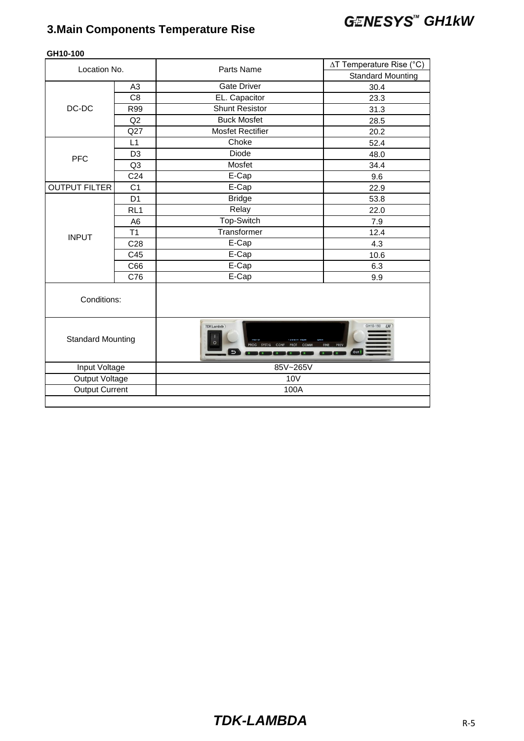## **3.Main Components Temperature Rise GENESYS<sup>"</sup> GH1kW**

| Location No.             |                 | Parts Name                          | ∆T Temperature Rise (°C) |
|--------------------------|-----------------|-------------------------------------|--------------------------|
|                          |                 |                                     | <b>Standard Mounting</b> |
|                          | A <sub>3</sub>  | <b>Gate Driver</b>                  | 30.4                     |
|                          | C <sub>8</sub>  | EL. Capacitor                       | 23.3                     |
| DC-DC                    | R99             | <b>Shunt Resistor</b>               | 31.3                     |
|                          | Q2              | <b>Buck Mosfet</b>                  | 28.5                     |
|                          | Q27             | <b>Mosfet Rectifier</b>             | 20.2                     |
|                          | L1              | Choke                               | 52.4                     |
| <b>PFC</b>               | D <sub>3</sub>  | <b>Diode</b>                        | 48.0                     |
|                          | Q <sub>3</sub>  | Mosfet                              | 34.4                     |
|                          | C <sub>24</sub> | $E-Cap$                             | 9.6                      |
| <b>OUTPUT FILTER</b>     | C <sub>1</sub>  | E-Cap                               | 22.9                     |
|                          | D <sub>1</sub>  | <b>Bridge</b>                       | 53.8                     |
|                          | RL <sub>1</sub> | Relay                               | 22.0                     |
|                          | A <sub>6</sub>  | Top-Switch                          | 7.9                      |
| <b>INPUT</b>             | T1              | Transformer                         | 12.4                     |
|                          | C <sub>28</sub> | E-Cap                               | 4.3                      |
|                          | C45             | E-Cap                               | 10.6                     |
|                          | C66             | E-Cap                               | 6.3                      |
|                          | C76             | E-Cap                               | 9.9                      |
| Conditions:              |                 |                                     |                          |
| <b>Standard Mounting</b> |                 | <b>TDK-Lambda</b><br>$\overline{u}$ | GH10-150<br>LXI<br>OUT   |
| Input Voltage            |                 | 85V~265V                            |                          |
| <b>Output Voltage</b>    |                 | <b>10V</b>                          |                          |
| <b>Output Current</b>    |                 | 100A                                |                          |
|                          |                 |                                     |                          |

#### **GH10-100**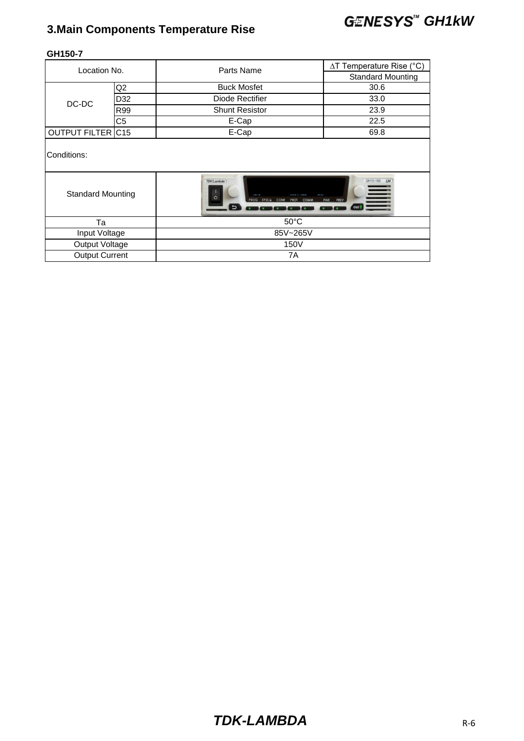## **3.Main Components Temperature Rise GENESYS<sup>"</sup> GH1kW**

|                          |     | Parts Name                                                                                | ∆T Temperature Rise (°C)                             |  |  |
|--------------------------|-----|-------------------------------------------------------------------------------------------|------------------------------------------------------|--|--|
| Location No.             |     |                                                                                           | <b>Standard Mounting</b>                             |  |  |
|                          | Q2  | <b>Buck Mosfet</b>                                                                        | 30.6                                                 |  |  |
|                          | D32 | Diode Rectifier                                                                           | 33.0                                                 |  |  |
| DC-DC                    | R99 | <b>Shunt Resistor</b>                                                                     | 23.9                                                 |  |  |
|                          | C5  | E-Cap                                                                                     | 22.5                                                 |  |  |
| OUTPUT FILTER C15        |     | E-Cap                                                                                     | 69.8                                                 |  |  |
| Conditions:              |     |                                                                                           |                                                      |  |  |
| <b>Standard Mounting</b> |     | <b>TDK-Lambda</b><br>$\circ$<br>PROG SYST/& CONF<br>COMM<br><b>PROT</b><br>$\overline{b}$ | GH10-150<br><b>LXI</b><br><b>FINE</b><br>PREV<br>OUT |  |  |
| Ta                       |     | $50^{\circ}$ C                                                                            |                                                      |  |  |
| Input Voltage            |     | 85V~265V                                                                                  |                                                      |  |  |
| Output Voltage           |     | 150V                                                                                      |                                                      |  |  |
| <b>Output Current</b>    |     | 7A                                                                                        |                                                      |  |  |
|                          |     |                                                                                           |                                                      |  |  |

#### **GH150-7**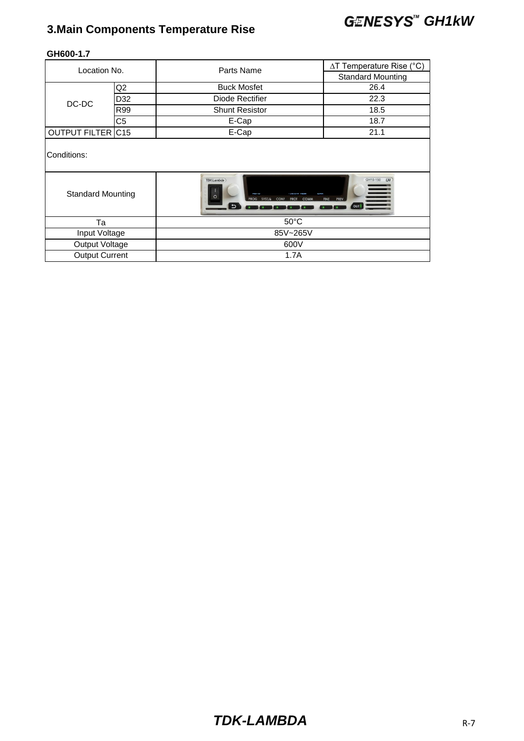## **3.Main Components Temperature Rise GENESYS<sup>"</sup> GH1kW**

| Location No.             |                | Parts Name                             | $\Delta T$ Temperature Rise (°C) |  |  |
|--------------------------|----------------|----------------------------------------|----------------------------------|--|--|
|                          |                |                                        | <b>Standard Mounting</b>         |  |  |
| Q <sub>2</sub>           |                | <b>Buck Mosfet</b>                     | 26.4                             |  |  |
| DC-DC                    | D32            | Diode Rectifier                        | 22.3                             |  |  |
|                          | R99            | <b>Shunt Resistor</b>                  | 18.5                             |  |  |
|                          | C <sub>5</sub> | E-Cap                                  | 18.7                             |  |  |
| <b>OUTPUT FILTER C15</b> |                | E-Cap                                  | 21.1                             |  |  |
| Conditions:              |                | <b>TDK-Lambda</b>                      | GH10-150<br>LXI                  |  |  |
| <b>Standard Mounting</b> |                | O<br>SYST/6<br><b>ROG</b><br>CONF<br>ь | PREV<br><b>FINE</b>              |  |  |
| Ta                       |                | $50^{\circ}$ C                         |                                  |  |  |
| Input Voltage            |                | 85V~265V                               |                                  |  |  |
| Output Voltage<br>600V   |                |                                        |                                  |  |  |
| <b>Output Current</b>    |                | 1.7A                                   |                                  |  |  |

#### **GH600-1.7**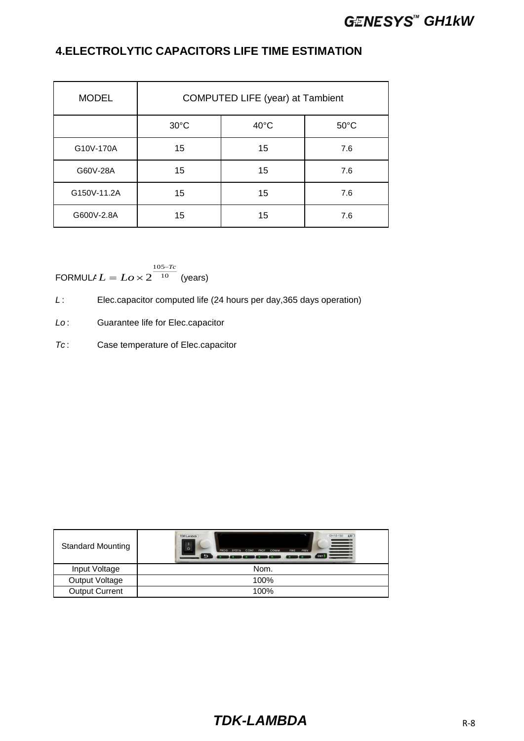### **GENESYS<sup>™</sup> GH1kW**

#### **4.ELECTROLYTIC CAPACITORS LIFE TIME ESTIMATION**

| <b>MODEL</b> | COMPUTED LIFE (year) at Tambient |                |                |  |  |
|--------------|----------------------------------|----------------|----------------|--|--|
|              | $30^{\circ}$ C                   | $40^{\circ}$ C | $50^{\circ}$ C |  |  |
| G10V-170A    | 15                               | 15             | 7.6            |  |  |
| G60V-28A     | 15                               | 15             | 7.6            |  |  |
| G150V-11.2A  | 15                               | 15             | 7.6            |  |  |
| G600V-2.8A   | 15                               | 15             | 7.6            |  |  |

FORMULA $L = L \sigma \times 2^{-10}$  (years) 105 2 *Tc*  $L = Lo \times 2^{\frac{105}{10}}$  $=$  Lo  $\times$ 

*L* : Elec.capacitor computed life (24 hours per day,365 days operation)

*Lo* : Guarantee life for Elec.capacitor

*Tc* : Case temperature of Elec.capacitor

| <b>Standard Mounting</b> | GH10-150 LXI<br>TDK-Lambda<br>言<br>$\circ$<br>PROG SYST/&<br>CONF<br>FINE PREV<br><b>PROT</b><br>COMM<br>$\overline{\phantom{0}}$<br><b>OUT</b> |
|--------------------------|-------------------------------------------------------------------------------------------------------------------------------------------------|
| Input Voltage            | Nom.                                                                                                                                            |
| Output Voltage           | 100%                                                                                                                                            |
| <b>Output Current</b>    | 100%                                                                                                                                            |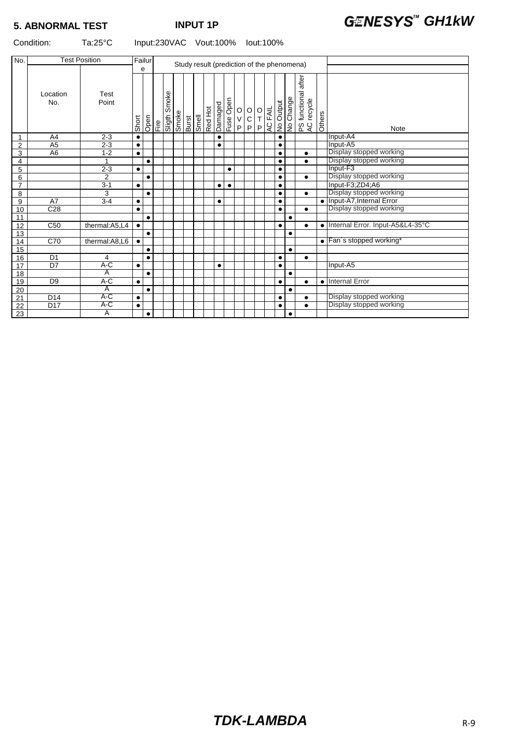#### Condition: Ta:25°C Input:230VAC Vout:100% Iout:100%

| No.             | <b>Test Position</b> |                | Failur    |           |                         |       |                                                   |           |           |                                              |                                              |                            |         |           | Study result (prediction of the phenomena) |                                        |        |                                    |
|-----------------|----------------------|----------------|-----------|-----------|-------------------------|-------|---------------------------------------------------|-----------|-----------|----------------------------------------------|----------------------------------------------|----------------------------|---------|-----------|--------------------------------------------|----------------------------------------|--------|------------------------------------|
|                 |                      |                |           | е         |                         |       |                                                   |           |           |                                              |                                              |                            |         |           |                                            |                                        |        |                                    |
|                 | Location<br>No.      | Test<br>Point  | Short     | Open      | Smoke<br>Fire<br>Sligth | Smoke | Burst<br>Smell<br>Red Hot<br>Damaged<br>Luse Open |           |           | $\begin{array}{c}\n0 \\ V \\ P\n\end{array}$ | $\begin{array}{c}\n0 \\ C \\ P\n\end{array}$ | $\rm _T^O$<br>$\mathsf{P}$ | AC FAIL | No Output | No Change                                  | after<br>PS functional a<br>AC recycle | Others | Note                               |
| $\mathbf{1}$    | A <sub>4</sub>       | $2 - 3$        | $\bullet$ |           |                         |       |                                                   | $\bullet$ |           |                                              |                                              |                            |         | $\bullet$ |                                            |                                        |        | Input-A4                           |
| $\overline{2}$  | A <sub>5</sub>       | $2 - 3$        | $\bullet$ |           |                         |       |                                                   | $\bullet$ |           |                                              |                                              |                            |         |           |                                            |                                        |        | Input-A5                           |
| 3               | A <sub>6</sub>       | $1 - 2$        | $\bullet$ |           |                         |       |                                                   |           |           |                                              |                                              |                            |         | $\bullet$ |                                            | $\bullet$                              |        | Display stopped working            |
| 4               |                      |                |           | $\bullet$ |                         |       |                                                   |           |           |                                              |                                              |                            |         | $\bullet$ |                                            | $\bullet$                              |        | Display stopped working            |
| 5               |                      | $2 - 3$        | $\bullet$ |           |                         |       |                                                   |           | $\bullet$ |                                              |                                              |                            |         | $\bullet$ |                                            |                                        |        | Input-F3                           |
| 6               |                      | $\overline{2}$ |           | $\bullet$ |                         |       |                                                   |           |           |                                              |                                              |                            |         | $\bullet$ |                                            | $\bullet$                              |        | Display stopped working            |
| $\overline{7}$  |                      | $3 - 1$        | $\bullet$ |           |                         |       |                                                   | $\bullet$ | $\bullet$ |                                              |                                              |                            |         | $\bullet$ |                                            |                                        |        | Input-F3;ZD4;A6                    |
| 8               |                      | 3              |           | $\bullet$ |                         |       |                                                   |           |           |                                              |                                              |                            |         | $\bullet$ |                                            | $\bullet$                              |        | Display stopped working            |
| 9               | A7                   | $3-4$          | $\bullet$ |           |                         |       |                                                   | $\bullet$ |           |                                              |                                              |                            |         | $\bullet$ |                                            |                                        |        | · Input-A7, Internal Error         |
| 10              | C <sub>28</sub>      |                | $\bullet$ |           |                         |       |                                                   |           |           |                                              |                                              |                            |         | $\bullet$ |                                            | $\bullet$                              |        | Display stopped working            |
| 11              |                      |                |           | $\bullet$ |                         |       |                                                   |           |           |                                              |                                              |                            |         |           |                                            |                                        |        |                                    |
| 12              | C <sub>50</sub>      | thermal:A5,L4  | $\bullet$ |           |                         |       |                                                   |           |           |                                              |                                              |                            |         | $\bullet$ |                                            | $\bullet$                              |        | • Internal Error. Input-A5&L4-35°C |
| 13              |                      |                |           | $\bullet$ |                         |       |                                                   |           |           |                                              |                                              |                            |         |           | $\bullet$                                  |                                        |        |                                    |
| 14              | C70                  | thermal:A8,L6  | $\bullet$ |           |                         |       |                                                   |           |           |                                              |                                              |                            |         |           |                                            |                                        |        | • Fan's stopped working*           |
| 15              |                      |                |           | $\bullet$ |                         |       |                                                   |           |           |                                              |                                              |                            |         |           | $\bullet$                                  |                                        |        |                                    |
| 16              | D <sub>1</sub>       | 4              |           | $\bullet$ |                         |       |                                                   |           |           |                                              |                                              |                            |         | $\bullet$ |                                            | $\bullet$                              |        |                                    |
| 17              | D7                   | $A-C$          | $\bullet$ |           |                         |       |                                                   | $\bullet$ |           |                                              |                                              |                            |         | $\bullet$ |                                            |                                        |        | Input-A5                           |
| 18              |                      | A              |           | $\bullet$ |                         |       |                                                   |           |           |                                              |                                              |                            |         |           | $\bullet$                                  |                                        |        |                                    |
| 19              | D <sub>9</sub>       | A-C            | $\bullet$ |           |                         |       |                                                   |           |           |                                              |                                              |                            |         | $\bullet$ |                                            | $\bullet$                              |        | • Internal Error                   |
| 20              |                      | $\overline{A}$ |           | $\bullet$ |                         |       |                                                   |           |           |                                              |                                              |                            |         |           | $\bullet$                                  |                                        |        |                                    |
| 21              | D <sub>14</sub>      | A-C            | $\bullet$ |           |                         |       |                                                   |           |           |                                              |                                              |                            |         | $\bullet$ |                                            | $\bullet$                              |        | Display stopped working            |
| $\overline{22}$ | D <sub>17</sub>      | A-C            | $\bullet$ |           |                         |       |                                                   |           |           |                                              |                                              |                            |         | $\bullet$ |                                            | $\bullet$                              |        | Display stopped working            |
| 23              |                      | $\overline{A}$ |           | $\bullet$ |                         |       |                                                   |           |           |                                              |                                              |                            |         |           | $\bullet$                                  |                                        |        |                                    |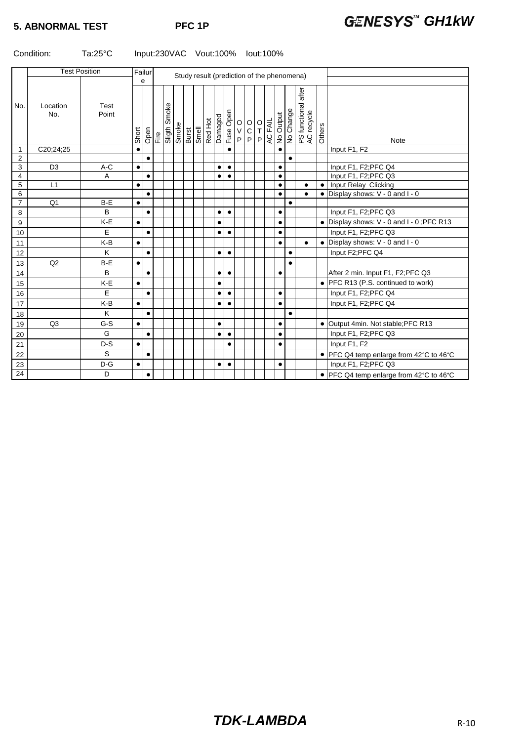#### Condition: Ta:25°C Input:230VAC Vout:100% Iout:100%

|                 | <b>Test Position</b> |               | Failur    |                                                 |  |                              |                                                            |  |  |  |           |           |                                      |                                                         |  |         |           |                                     |                                                  |           |                                           |
|-----------------|----------------------|---------------|-----------|-------------------------------------------------|--|------------------------------|------------------------------------------------------------|--|--|--|-----------|-----------|--------------------------------------|---------------------------------------------------------|--|---------|-----------|-------------------------------------|--------------------------------------------------|-----------|-------------------------------------------|
|                 |                      |               |           | Study result (prediction of the phenomena)<br>e |  |                              |                                                            |  |  |  |           |           |                                      |                                                         |  |         |           |                                     |                                                  |           |                                           |
| No.             | Location<br>No.      | Test<br>Point | Short     |                                                 |  | Open<br>Fire<br>Sligth Smoke | Smoke<br>Burst<br>Smell<br>Red Hot<br>Damaged<br>Luse Open |  |  |  |           |           | $_{\rm V}^{\rm O}$<br>$\overline{P}$ | $\begin{bmatrix} 0 & 0 \\ 0 & T \\ P & P \end{bmatrix}$ |  | AC FAIL |           | <mark>No Output</mark><br>No Change | after<br>PS functional a<br>AC recycle<br>Others |           | <b>Note</b>                               |
| 1               | C20;24;25            |               | $\bullet$ |                                                 |  |                              |                                                            |  |  |  |           | $\bullet$ |                                      |                                                         |  |         | $\bullet$ |                                     |                                                  |           | Input F1, F2                              |
| $\overline{2}$  |                      |               |           | $\bullet$                                       |  |                              |                                                            |  |  |  |           |           |                                      |                                                         |  |         |           | $\bullet$                           |                                                  |           |                                           |
| 3               | D <sub>3</sub>       | A-C           | $\bullet$ |                                                 |  |                              |                                                            |  |  |  | $\bullet$ | $\bullet$ |                                      |                                                         |  |         | $\bullet$ |                                     |                                                  |           | Input F1, F2; PFC Q4                      |
| 4               |                      | A             |           | $\bullet$                                       |  |                              |                                                            |  |  |  | $\bullet$ | $\bullet$ |                                      |                                                         |  |         | $\bullet$ |                                     |                                                  |           | Input F1, F2;PFC Q3                       |
| 5               | L1                   |               | $\bullet$ |                                                 |  |                              |                                                            |  |  |  |           |           |                                      |                                                         |  |         | $\bullet$ |                                     | $\bullet$                                        |           | Input Relay Clicking                      |
| 6               |                      |               |           | $\bullet$                                       |  |                              |                                                            |  |  |  |           |           |                                      |                                                         |  |         | $\bullet$ |                                     | $\bullet$                                        | $\bullet$ | Display shows: V - 0 and I - 0            |
| $\overline{7}$  | Q <sub>1</sub>       | B-E           | $\bullet$ |                                                 |  |                              |                                                            |  |  |  |           |           |                                      |                                                         |  |         |           | $\bullet$                           |                                                  |           |                                           |
| 8               |                      | B             |           | $\bullet$                                       |  |                              |                                                            |  |  |  | $\bullet$ | $\bullet$ |                                      |                                                         |  |         | $\bullet$ |                                     |                                                  |           | Input F1, F2; PFC Q3                      |
| 9               |                      | K-E           | $\bullet$ |                                                 |  |                              |                                                            |  |  |  |           |           |                                      |                                                         |  |         | $\bullet$ |                                     |                                                  |           | • Display shows: V - 0 and I - 0; PFC R13 |
| 10              |                      | E             |           | $\bullet$                                       |  |                              |                                                            |  |  |  | $\bullet$ | $\bullet$ |                                      |                                                         |  |         | $\bullet$ |                                     |                                                  |           | Input F1, F2; PFC Q3                      |
| 11              |                      | K-B           | $\bullet$ |                                                 |  |                              |                                                            |  |  |  |           |           |                                      |                                                         |  |         | $\bullet$ |                                     | $\bullet$                                        |           | $\bullet$ Display shows: V - 0 and I - 0  |
| 12              |                      | K             |           | $\bullet$                                       |  |                              |                                                            |  |  |  | $\bullet$ | $\bullet$ |                                      |                                                         |  |         |           | $\bullet$                           |                                                  |           | Input F2;PFC Q4                           |
| 13              | Q2                   | $B-E$         | $\bullet$ |                                                 |  |                              |                                                            |  |  |  |           |           |                                      |                                                         |  |         |           | $\bullet$                           |                                                  |           |                                           |
| 14              |                      | B             |           | $\bullet$                                       |  |                              |                                                            |  |  |  | $\bullet$ | $\bullet$ |                                      |                                                         |  |         | $\bullet$ |                                     |                                                  |           | After 2 min. Input F1, F2; PFC Q3         |
| 15              |                      | K-E           | $\bullet$ |                                                 |  |                              |                                                            |  |  |  |           |           |                                      |                                                         |  |         |           |                                     |                                                  |           | • PFC R13 (P.S. continued to work)        |
| 16              |                      | E             |           | $\bullet$                                       |  |                              |                                                            |  |  |  | $\bullet$ | $\bullet$ |                                      |                                                         |  |         | $\bullet$ |                                     |                                                  |           | Input F1, F2; PFC Q4                      |
| 17              |                      | K-B           | $\bullet$ |                                                 |  |                              |                                                            |  |  |  | $\bullet$ | $\bullet$ |                                      |                                                         |  |         | $\bullet$ |                                     |                                                  |           | Input F1, F2;PFC Q4                       |
| 18              |                      | K             |           | $\bullet$                                       |  |                              |                                                            |  |  |  |           |           |                                      |                                                         |  |         |           | $\bullet$                           |                                                  |           |                                           |
| 19              | Q3                   | $G-S$         | $\bullet$ |                                                 |  |                              |                                                            |  |  |  | $\bullet$ |           |                                      |                                                         |  |         | $\bullet$ |                                     |                                                  |           | • Output 4min. Not stable; PFC R13        |
| 20              |                      | G             |           | $\bullet$                                       |  |                              |                                                            |  |  |  | $\bullet$ | $\bullet$ |                                      |                                                         |  |         | $\bullet$ |                                     |                                                  |           | Input F1, F2; PFC Q3                      |
| 21              |                      | $D-S$         | $\bullet$ |                                                 |  |                              |                                                            |  |  |  |           | $\bullet$ |                                      |                                                         |  |         | $\bullet$ |                                     |                                                  |           | Input F1, F2                              |
| 22              |                      | S             |           | $\bullet$                                       |  |                              |                                                            |  |  |  |           |           |                                      |                                                         |  |         |           |                                     |                                                  |           | • PFC Q4 temp enlarge from 42°C to 46°C   |
| 23              |                      | $D-G$         | $\bullet$ |                                                 |  |                              |                                                            |  |  |  | $\bullet$ | $\bullet$ |                                      |                                                         |  |         | $\bullet$ |                                     |                                                  |           | Input F1, F2; PFC Q3                      |
| $\overline{24}$ |                      | D             |           | $\bullet$                                       |  |                              |                                                            |  |  |  |           |           |                                      |                                                         |  |         |           |                                     |                                                  |           | • PFC Q4 temp enlarge from 42°C to 46°C   |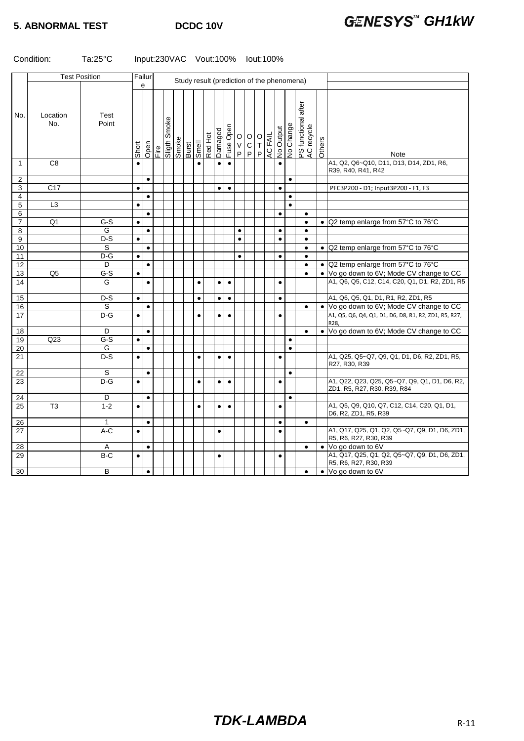### **5. ABNORMAL TEST DCDC 10V GENESYS<sup>™</sup> GH1kW**

#### Condition: Ta:25°C Input:230VAC Vout:100% Iout:100%

|                | <b>Test Position</b> |                  | Failur    |           |      |                   |  |                         |         |           |                      |              |                                                                 |         |           | Study result (prediction of the phenomena) |                                   |           |                                                                                            |
|----------------|----------------------|------------------|-----------|-----------|------|-------------------|--|-------------------------|---------|-----------|----------------------|--------------|-----------------------------------------------------------------|---------|-----------|--------------------------------------------|-----------------------------------|-----------|--------------------------------------------------------------------------------------------|
|                |                      |                  |           | e         |      |                   |  |                         |         |           |                      |              |                                                                 |         |           |                                            |                                   |           |                                                                                            |
| No.            | Location<br>No.      | Test<br>Point    | Short     | Open      | Fire | Smoke<br>3 Higils |  | Smoke<br>Burst<br>Smell | Red Hot |           | Damaged<br>Fuse Open | $\mathsf{P}$ | $\begin{bmatrix} 0 & 0 \\ 0 & 0 \\ 0 & 0 \end{bmatrix}$<br> P P | AC FAIL |           | No Output<br>No Change                     | PS functional after<br>AC recycle | Others    | Note                                                                                       |
| $\mathbf{1}$   | $\overline{C8}$      |                  |           |           |      |                   |  | $\bullet$               |         | $\bullet$ | $\bullet$            |              |                                                                 |         | $\bullet$ |                                            |                                   |           | A1, Q2, Q6~Q10, D11, D13, D14, ZD1, R6,<br>R39, R40, R41, R42                              |
| $\overline{2}$ |                      |                  |           | $\bullet$ |      |                   |  |                         |         |           |                      |              |                                                                 |         |           | $\bullet$                                  |                                   |           |                                                                                            |
| 3              | C17                  |                  | $\bullet$ |           |      |                   |  |                         |         | $\bullet$ | $\bullet$            |              |                                                                 |         | $\bullet$ |                                            |                                   |           | PFC3P200 - D1; Input3P200 - F1, F3                                                         |
| $\overline{4}$ |                      |                  |           | $\bullet$ |      |                   |  |                         |         |           |                      |              |                                                                 |         |           | $\bullet$                                  |                                   |           |                                                                                            |
| 5              | $\overline{L3}$      |                  | $\bullet$ |           |      |                   |  |                         |         |           |                      |              |                                                                 |         |           | $\bullet$                                  |                                   |           |                                                                                            |
| 6              |                      |                  |           | $\bullet$ |      |                   |  |                         |         |           |                      |              |                                                                 |         | $\bullet$ |                                            | $\bullet$                         |           |                                                                                            |
| $\overline{7}$ | Q <sub>1</sub>       | $G-S$            | $\bullet$ |           |      |                   |  |                         |         |           |                      |              |                                                                 |         |           |                                            | $\bullet$                         |           | • Q2 temp enlarge from 57°C to 76°C                                                        |
| 8              |                      | G                |           | $\bullet$ |      |                   |  |                         |         |           |                      | $\bullet$    |                                                                 |         | $\bullet$ |                                            | $\bullet$                         |           |                                                                                            |
| 9              |                      | $\overline{D-S}$ | $\bullet$ |           |      |                   |  |                         |         |           |                      | $\bullet$    |                                                                 |         | $\bullet$ |                                            | $\bullet$                         |           |                                                                                            |
| 10             |                      | S                |           | $\bullet$ |      |                   |  |                         |         |           |                      |              |                                                                 |         |           |                                            | $\bullet$                         |           | • Q2 temp enlarge from 57°C to 76°C                                                        |
| 11             |                      | $D-G$            | $\bullet$ |           |      |                   |  |                         |         |           |                      | $\bullet$    |                                                                 |         | $\bullet$ |                                            | $\bullet$                         |           |                                                                                            |
| 12             |                      | D                |           | $\bullet$ |      |                   |  |                         |         |           |                      |              |                                                                 |         |           |                                            | $\bullet$                         |           | • Q2 temp enlarge from 57°C to 76°C                                                        |
| 13             | Q <sub>5</sub>       | $G-S$            | $\bullet$ |           |      |                   |  |                         |         |           |                      |              |                                                                 |         |           |                                            | $\bullet$                         |           | . Vo go down to 6V; Mode CV change to CC<br>A1, Q6, Q5, C12, C14, C20, Q1, D1, R2, ZD1, R5 |
| 14             |                      | G                |           | $\bullet$ |      |                   |  | $\bullet$               |         | $\bullet$ | $\bullet$            |              |                                                                 |         | $\bullet$ |                                            |                                   |           |                                                                                            |
| 15             |                      | $D-S$            | $\bullet$ |           |      |                   |  | $\bullet$               |         | $\bullet$ | $\bullet$            |              |                                                                 |         | $\bullet$ |                                            |                                   |           | A1, Q6, Q5, Q1, D1, R1, R2, ZD1, R5                                                        |
| 16             |                      | S                |           | $\bullet$ |      |                   |  |                         |         |           |                      |              |                                                                 |         |           |                                            | $\bullet$                         |           | • Vo go down to 6V; Mode CV change to CC                                                   |
| 17             |                      | $D-G$            | $\bullet$ |           |      |                   |  | $\bullet$               |         | $\bullet$ | $\bullet$            |              |                                                                 |         | $\bullet$ |                                            |                                   |           | A1, Q5, Q6, Q4, Q1, D1, D6, D8, R1, R2, ZD1, R5, R27,<br>R28,                              |
| 18             |                      | D                |           | $\bullet$ |      |                   |  |                         |         |           |                      |              |                                                                 |         |           |                                            | $\bullet$                         |           | . Vo go down to 6V; Mode CV change to CC                                                   |
| 19             | Q23                  | $G-S$            | $\bullet$ |           |      |                   |  |                         |         |           |                      |              |                                                                 |         |           | $\bullet$                                  |                                   |           |                                                                                            |
| 20             |                      | G                |           | $\bullet$ |      |                   |  |                         |         |           |                      |              |                                                                 |         |           | $\bullet$                                  |                                   |           |                                                                                            |
| 21             |                      | $D-S$            | $\bullet$ |           |      |                   |  | $\bullet$               |         | $\bullet$ | $\bullet$            |              |                                                                 |         | $\bullet$ |                                            |                                   |           | A1, Q25, Q5~Q7, Q9, Q1, D1, D6, R2, ZD1, R5,<br>R27, R30, R39                              |
| 22             |                      | S                |           | $\bullet$ |      |                   |  |                         |         |           |                      |              |                                                                 |         |           | $\bullet$                                  |                                   |           |                                                                                            |
| 23             |                      | $D-G$            | $\bullet$ |           |      |                   |  | $\bullet$               |         | $\bullet$ | $\bullet$            |              |                                                                 |         | $\bullet$ |                                            |                                   |           | A1, Q22, Q23, Q25, Q5~Q7, Q9, Q1, D1, D6, R2,<br>ZD1, R5, R27, R30, R39, R84               |
| 24             |                      | D                |           | $\bullet$ |      |                   |  |                         |         |           |                      |              |                                                                 |         |           | $\bullet$                                  |                                   |           |                                                                                            |
| 25             | $\overline{T3}$      | $1 - 2$          | $\bullet$ |           |      |                   |  | $\bullet$               |         | $\bullet$ | $\bullet$            |              |                                                                 |         | $\bullet$ |                                            |                                   |           | A1, Q5, Q9, Q10, Q7, C12, C14, C20, Q1, D1,<br>D6, R2, ZD1, R5, R39                        |
| 26             |                      | 1                |           | $\bullet$ |      |                   |  |                         |         |           |                      |              |                                                                 |         | $\bullet$ |                                            | $\bullet$                         |           |                                                                                            |
| 27             |                      | $A-C$            | $\bullet$ |           |      |                   |  |                         |         | $\bullet$ |                      |              |                                                                 |         | $\bullet$ |                                            |                                   |           | A1, Q17, Q25, Q1, Q2, Q5~Q7, Q9, D1, D6, ZD1,<br>R5, R6, R27, R30, R39                     |
| 28             |                      | Α                |           | $\bullet$ |      |                   |  |                         |         |           |                      |              |                                                                 |         |           |                                            | $\bullet$                         | $\bullet$ | Vo go down to 6V                                                                           |
| 29             |                      | $B-C$            | $\bullet$ |           |      |                   |  |                         |         | $\bullet$ |                      |              |                                                                 |         | $\bullet$ |                                            |                                   |           | A1, Q17, Q25, Q1, Q2, Q5~Q7, Q9, D1, D6, ZD1,<br>R5, R6, R27, R30, R39                     |
| 30             |                      | B                |           | $\bullet$ |      |                   |  |                         |         |           |                      |              |                                                                 |         |           |                                            | $\bullet$                         |           | • Vo go down to 6V                                                                         |
|                |                      |                  |           |           |      |                   |  |                         |         |           |                      |              |                                                                 |         |           |                                            |                                   |           |                                                                                            |